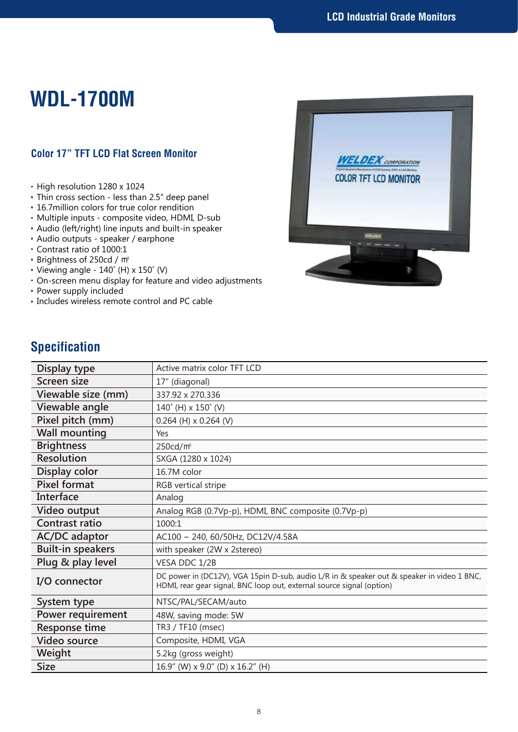## **WDL-1700M**

## **Color 17" TFT LCD Flat Screen Monitor**

- High resolution 1280 x 1024
- Thin cross section less than 2.5" deep panel
- 16.7million colors for true color rendition
- Multiple inputs composite video, HDMI, D-sub
- Audio (left/right) line inputs and built-in speaker
- Audio outputs speaker / earphone
- Contrast ratio of 1000:1
- Brightness of 250cd / ㎡
- Viewing angle  $140^\circ$  (H) x  $150^\circ$  (V)
- On-screen menu display for feature and video adjustments
- Power supply included
- Includes wireless remote control and PC cable



## **Specification**

| Display type             | Active matrix color TFT LCD                                                                                                                                         |
|--------------------------|---------------------------------------------------------------------------------------------------------------------------------------------------------------------|
| <b>Screen size</b>       | 17" (diagonal)                                                                                                                                                      |
| Viewable size (mm)       | 337.92 x 270.336                                                                                                                                                    |
| Viewable angle           | $140^{\circ}$ (H) x $150^{\circ}$ (V)                                                                                                                               |
| Pixel pitch (mm)         | $0.264$ (H) x 0.264 (V)                                                                                                                                             |
| <b>Wall mounting</b>     | Yes                                                                                                                                                                 |
| <b>Brightness</b>        | 250cd/m <sup>2</sup>                                                                                                                                                |
| <b>Resolution</b>        | SXGA (1280 x 1024)                                                                                                                                                  |
| Display color            | 16.7M color                                                                                                                                                         |
| <b>Pixel format</b>      | RGB vertical stripe                                                                                                                                                 |
| Interface                | Analog                                                                                                                                                              |
| Video output             | Analog RGB (0.7Vp-p), HDMI, BNC composite (0.7Vp-p)                                                                                                                 |
| <b>Contrast ratio</b>    | 1000:1                                                                                                                                                              |
| <b>AC/DC</b> adaptor     | AC100 ~ 240, 60/50Hz, DC12V/4.58A                                                                                                                                   |
| <b>Built-in speakers</b> | with speaker (2W x 2stereo)                                                                                                                                         |
| Plug & play level        | VESA DDC 1/2B                                                                                                                                                       |
| I/O connector            | DC power in (DC12V), VGA 15pin D-sub, audio L/R in & speaker out & speaker in video 1 BNC,<br>HDMI, rear gear signal, BNC loop out, external source signal (option) |
| System type              | NTSC/PAL/SECAM/auto                                                                                                                                                 |
| Power requirement        | 48W, saving mode: 5W                                                                                                                                                |
| <b>Response time</b>     | TR3 / TF10 (msec)                                                                                                                                                   |
| <b>Video source</b>      | Composite, HDMI, VGA                                                                                                                                                |
| Weight                   | 5.2kg (gross weight)                                                                                                                                                |
| <b>Size</b>              | 16.9" (W) x 9.0" (D) x 16.2" (H)                                                                                                                                    |
|                          |                                                                                                                                                                     |